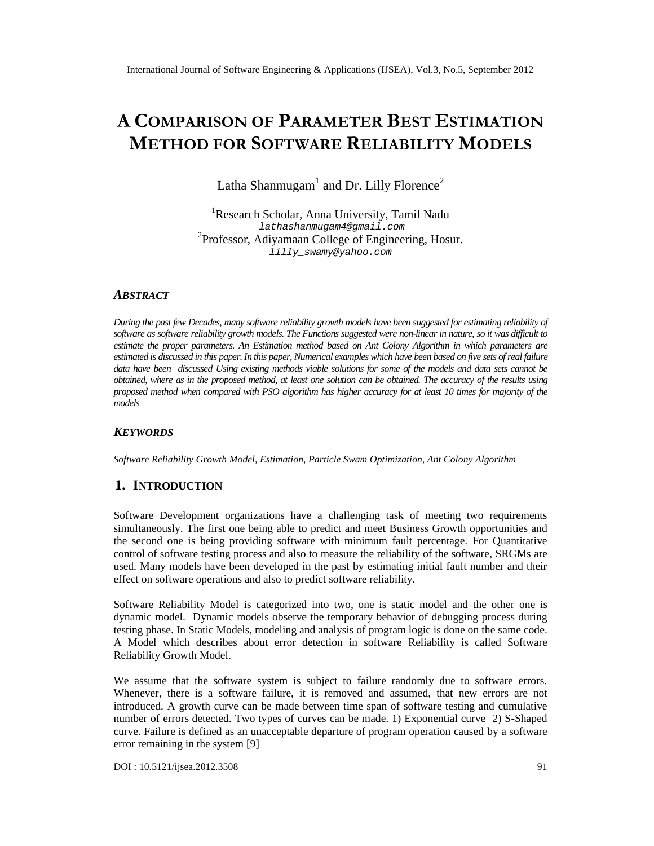# ACOMPARISON PAOFFAMETER STESTIMATION  $METHOD$  FOR STETWARE LIABILITY ODELS

Latha Shanmugahand Dr. Lilly Florence

<sup>1</sup>Research Scholar, Anna University, Tamil Nadu [lathashanmugam4@gmail.com](mailto:lathashanmugam4@gmail.com) <sup>2</sup>Professor AdiyamaanCollege of Engineering, Hosur. [lilly\\_swamy@yahoo.com](mailto:lilly_swamy@yahoo.com)

# **ABSTRACT**

During the past few Decades, many fuxare reliability growthmodels have been suggested for estimating reliability of software as software reliability growth models. The Functions suggested were non nature, so it was difficult to estimate the proper parameters. Estimation method based on Ant Colony of them in which parameters are estimated is discussed in this papethis paper, Numerical examples which have been based on five sets of real failure data have beendiscussed Usingxistingmethods viable solutions for some of the models and data asetst be obtained where asn the proposed method, leastone solution can be obtained. The accuracy of the results using proposed method when compared with PSO algorithm higheraccuracy forat least10 times for majority of the models

# **KEYWORDS**

Software Reliability Growth Model, Estimation, Flale Swam Optimization, Ant Colony Algorithm

#### 1. I NTRODUCTION

Software Development organizations have a challenging task of meeting two requirements simultaneously. Theirst one being able to predict and meetsiness Growthopportunities and the second one is being providing software with minimum fault percentage. For Quantitative control of software testing process and also to measure the reliability of the southermore. used. Many models have been developed in the past by estimating initial fault number and their effect on software operations and also to predict software reliability.

Software Reliability Modelis categorized into two, one is static model and the rodine is dynamic model.Dynamic models observe the temporary behavior of debugging process during testingphase. In Static Models, modeling and analysis of program logic is done camberes ale. A Model which describes about error detection in software ability is called Software Reliability Growth Model.

We assume that the software system is subject to failure randomly due to software errors. Whenever, there is a software failure, it is removed and assument new errors are not introduced.A growth curve can be made between time span of software testing and cumulative number of errors detected. Two types of curves can be made. 1) Exponentia 2t S-Shaped curve. Failure is defined as an unacceptable departure of program operation by assed fware error remaining in the systemal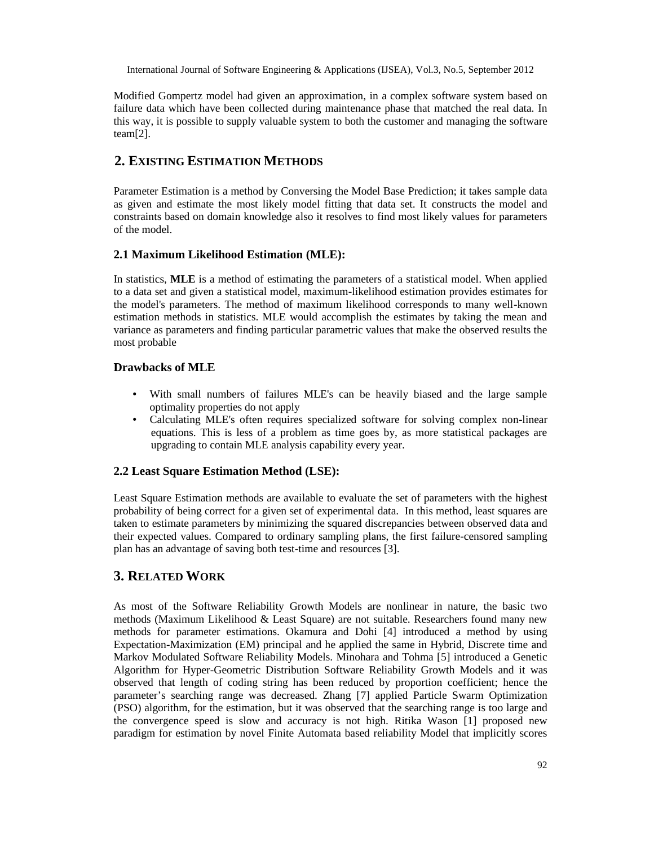Modified Gompertz model had given an approximation, in a complex software system based on failure data which have been collected during maintenance phase that matched the real data. In this way, it is possible to supply valuable system to both the customer and managing the software team[2].

# **2. EXISTING ESTIMATION METHODS**

Parameter Estimation is a method by Conversing the Model Base Prediction; it takes sample data as given and estimate the most likely model fitting that data set. It constructs the model and constraints based on domain knowledge also it resolves to find most likely values for parameters of the model.

# **2.1 Maximum Likelihood Estimation (MLE):**

In statistics, **MLE** is a method of estimating the parameters of a statistical model. When applied to a data set and given a statistical model, maximum-likelihood estimation provides estimates for the model's parameters. The method of maximum likelihood corresponds to many well-known estimation methods in statistics. MLE would accomplish the estimates by taking the mean and variance as parameters and finding particular parametric values that make the observed results the most probable

# **Drawbacks of MLE**

- With small numbers of failures MLE's can be heavily biased and the large sample optimality properties do not apply
- Calculating MLE's often requires specialized software for solving complex non-linear equations. This is less of a problem as time goes by, as more statistical packages are upgrading to contain MLE analysis capability every year.

# **2.2 Least Square Estimation Method (LSE):**

Least Square Estimation methods are available to evaluate the set of parameters with the highest probability of being correct for a given set of experimental data. In this method, least squares are taken to estimate parameters by minimizing the squared discrepancies between observed data and their expected values. Compared to ordinary sampling plans, the first failure-censored sampling plan has an advantage of saving both test-time and resources [3].

# **3. RELATED WORK**

As most of the Software Reliability Growth Models are nonlinear in nature, the basic two methods (Maximum Likelihood & Least Square) are not suitable. Researchers found many new methods for parameter estimations. Okamura and Dohi [4] introduced a method by using Expectation-Maximization (EM) principal and he applied the same in Hybrid, Discrete time and Markov Modulated Software Reliability Models. Minohara and Tohma [5] introduced a Genetic Algorithm for Hyper-Geometric Distribution Software Reliability Growth Models and it was observed that length of coding string has been reduced by proportion coefficient; hence the parameter's searching range was decreased. Zhang [7] applied Particle Swarm Optimization (PSO) algorithm, for the estimation, but it was observed that the searching range is too large and the convergence speed is slow and accuracy is not high. Ritika Wason [1] proposed new paradigm for estimation by novel Finite Automata based reliability Model that implicitly scores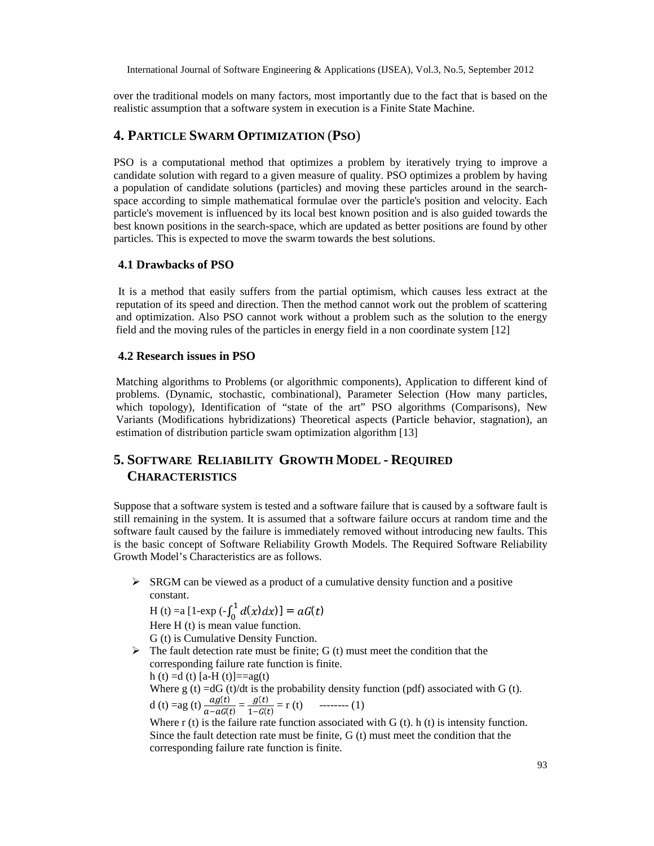over the traditional models on many factors, most importantly due to the fact that is based on the realistic assumption that a software system in execution is a Finite State Machine.

# **4. PARTICLE SWARM OPTIMIZATION** (**PSO**)

PSO is a computational method that optimizes a problem by iteratively trying to improve a candidate solution with regard to a given measure of quality. PSO optimizes a problem by having a population of candidate solutions (particles) and moving these particles around in the searchspace according to simple mathematical formulae over the particle's position and velocity. Each particle's movement is influenced by its local best known position and is also guided towards the best known positions in the search-space, which are updated as better positions are found by other particles. This is expected to move the swarm towards the best solutions.

#### **4.1 Drawbacks of PSO**

It is a method that easily suffers from the partial optimism, which causes less extract at the reputation of its speed and direction. Then the method cannot work out the problem of scattering and optimization. Also PSO cannot work without a problem such as the solution to the energy field and the moving rules of the particles in energy field in a non coordinate system [12]

#### **4.2 Research issues in PSO**

Matching algorithms to Problems (or algorithmic components), Application to different kind of problems. (Dynamic, stochastic, combinational), Parameter Selection (How many particles, which topology), Identification of "state of the art" PSO algorithms (Comparisons), New Variants (Modifications hybridizations) Theoretical aspects (Particle behavior, stagnation), an estimation of distribution particle swam optimization algorithm [13]

# **5. SOFTWARE RELIABILITY GROWTH MODEL - REQUIRED CHARACTERISTICS**

Suppose that a software system is tested and a software failure that is caused by a software fault is still remaining in the system. It is assumed that a software failure occurs at random time and the software fault caused by the failure is immediately removed without introducing new faults. This is the basic concept of Software Reliability Growth Models. The Required Software Reliability Growth Model's Characteristics are as follows.

 $\triangleright$  SRGM can be viewed as a product of a cumulative density function and a positive constant.

H (t) =a [1-exp  $\left(-\int_0^1 d(x) dx\right)$ ] =  $aG(t)$ Here H (t) is mean value function.

G (t) is Cumulative Density Function.

 $\triangleright$  The fault detection rate must be finite; G (t) must meet the condition that the

corresponding failure rate function is finite. h (t) =d (t) [a-H (t)]==ag(t) Where  $g(t) = dG(t)/dt$  is the probability density function (pdf) associated with  $G(t)$ . d (t) = ag (t)  $\frac{ag(t)}{a - aG(t)} = \frac{g(t)}{1 - G(t)}$  $\frac{f(t)}{f(t)} = r(t)$  -------- (1)

Where  $r(t)$  is the failure rate function associated with G  $(t)$ . h  $(t)$  is intensity function. Since the fault detection rate must be finite, G (t) must meet the condition that the corresponding failure rate function is finite.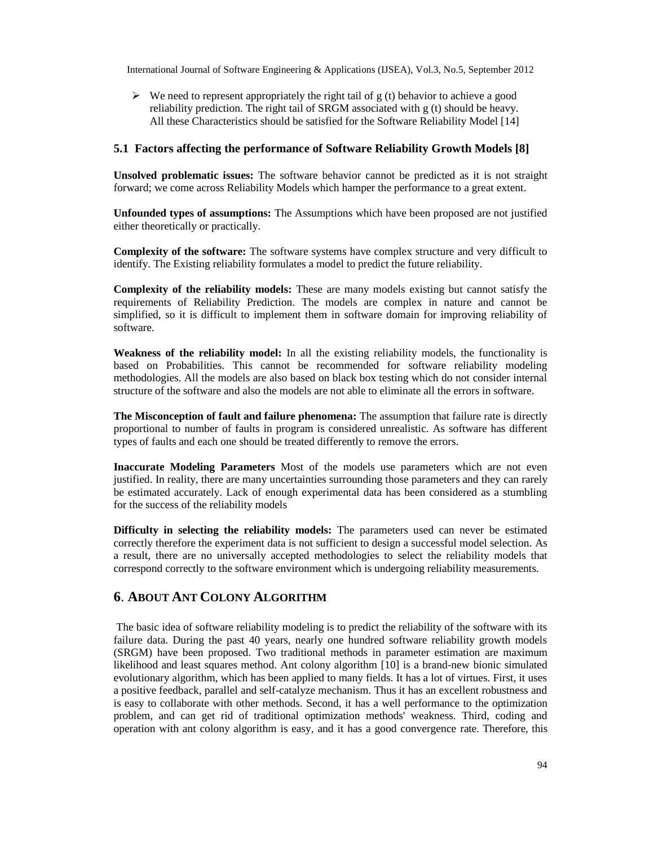$\triangleright$  We need to represent appropriately the right tail of g (t) behavior to achieve a good reliability prediction. The right tail of SRGM associated with g (t) should be heavy. All these Characteristics should be satisfied for the Software Reliability Model [14]

#### **5.1 Factors affecting the performance of Software Reliability Growth Models [8]**

**Unsolved problematic issues:** The software behavior cannot be predicted as it is not straight forward; we come across Reliability Models which hamper the performance to a great extent.

**Unfounded types of assumptions:** The Assumptions which have been proposed are not justified either theoretically or practically.

**Complexity of the software:** The software systems have complex structure and very difficult to identify. The Existing reliability formulates a model to predict the future reliability.

**Complexity of the reliability models:** These are many models existing but cannot satisfy the requirements of Reliability Prediction. The models are complex in nature and cannot be simplified, so it is difficult to implement them in software domain for improving reliability of software.

**Weakness of the reliability model:** In all the existing reliability models, the functionality is based on Probabilities. This cannot be recommended for software reliability modeling methodologies. All the models are also based on black box testing which do not consider internal structure of the software and also the models are not able to eliminate all the errors in software.

**The Misconception of fault and failure phenomena:** The assumption that failure rate is directly proportional to number of faults in program is considered unrealistic. As software has different types of faults and each one should be treated differently to remove the errors.

**Inaccurate Modeling Parameters** Most of the models use parameters which are not even justified. In reality, there are many uncertainties surrounding those parameters and they can rarely be estimated accurately. Lack of enough experimental data has been considered as a stumbling for the success of the reliability models

**Difficulty in selecting the reliability models:** The parameters used can never be estimated correctly therefore the experiment data is not sufficient to design a successful model selection. As a result, there are no universally accepted methodologies to select the reliability models that correspond correctly to the software environment which is undergoing reliability measurements.

# **6**. **ABOUT ANT COLONY ALGORITHM**

The basic idea of software reliability modeling is to predict the reliability of the software with its failure data. During the past 40 years, nearly one hundred software reliability growth models (SRGM) have been proposed. Two traditional methods in parameter estimation are maximum likelihood and least squares method. Ant colony algorithm [10] is a brand-new bionic simulated evolutionary algorithm, which has been applied to many fields. It has a lot of virtues. First, it uses a positive feedback, parallel and self-catalyze mechanism. Thus it has an excellent robustness and is easy to collaborate with other methods. Second, it has a well performance to the optimization problem, and can get rid of traditional optimization methods' weakness. Third, coding and operation with ant colony algorithm is easy, and it has a good convergence rate. Therefore, this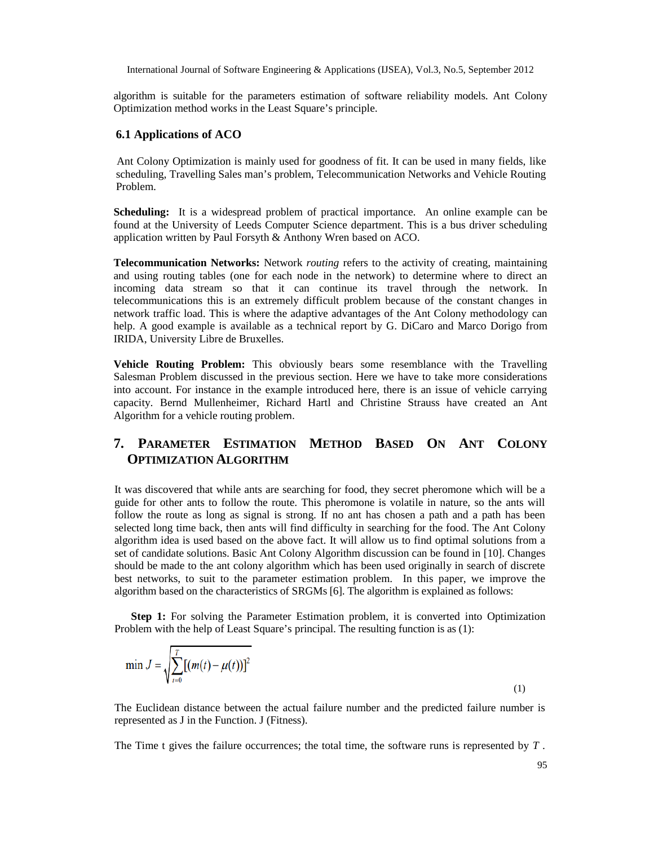algorithm is suitable for the parameters estimation of software reliability models. Ant Colony Optimization method works in the Least Square's principle.

#### **6.1 Applications of ACO**

Ant Colony Optimization is mainly used for goodness of fit. It can be used in many fields, like scheduling, Travelling Sales man's problem, Telecommunication Networks and Vehicle Routing Problem.

**Scheduling:** It is a widespread problem of practical importance. An online example can be found at the University of Leeds Computer Science department. This is a bus driver scheduling application written by Paul Forsyth & Anthony Wren based on ACO.

**Telecommunication Networks:** Network *routing* refers to the activity of creating, maintaining and using routing tables (one for each node in the network) to determine where to direct an incoming data stream so that it can continue its travel through the network. In telecommunications this is an extremely difficult problem because of the constant changes in network traffic load. This is where the adaptive advantages of the Ant Colony methodology can help. A good example is available as a technical report by G. DiCaro and Marco Dorigo from IRIDA, University Libre de Bruxelles.

**Vehicle Routing Problem:** This obviously bears some resemblance with the Travelling Salesman Problem discussed in the previous section. Here we have to take more considerations into account. For instance in the example introduced here, there is an issue of vehicle carrying capacity. Bernd Mullenheimer, Richard Hartl and Christine Strauss have created an Ant Algorithm for a vehicle routing problem.

# **7. PARAMETER ESTIMATION METHOD BASED ON ANT COLONY OPTIMIZATION ALGORITHM**

It was discovered that while ants are searching for food, they secret pheromone which will be a guide for other ants to follow the route. This pheromone is volatile in nature, so the ants will follow the route as long as signal is strong. If no ant has chosen a path and a path has been selected long time back, then ants will find difficulty in searching for the food. The Ant Colony algorithm idea is used based on the above fact. It will allow us to find optimal solutions from a set of candidate solutions. Basic Ant Colony Algorithm discussion can be found in [10]. Changes should be made to the ant colony algorithm which has been used originally in search of discrete best networks, to suit to the parameter estimation problem. In this paper, we improve the algorithm based on the characteristics of SRGMs [6]. The algorithm is explained as follows:

**Step 1:** For solving the Parameter Estimation problem, it is converted into Optimization Problem with the help of Least Square's principal. The resulting function is as (1):

$$
\min J = \sqrt{\sum_{t=0}^{T} [(m(t) - \mu(t))]^2}
$$
\n(1)

The Euclidean distance between the actual failure number and the predicted failure number is represented as J in the Function. J (Fitness).

The Time t gives the failure occurrences; the total time, the software runs is represented by *T* .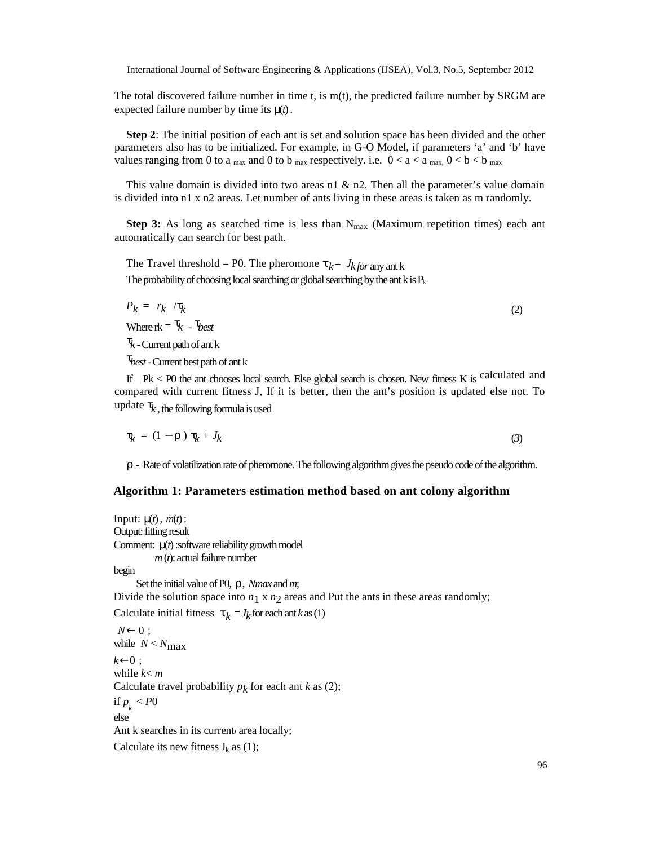The total discovered failure number in time t, is  $m(t)$ , the predicted failure number by SRGM are expected failure number by time its µ(*t*) .

**Step 2**: The initial position of each ant is set and solution space has been divided and the other parameters also has to be initialized. For example, in G-O Model, if parameters 'a' and 'b' have values ranging from 0 to a  $_{\text{max}}$  and 0 to b  $_{\text{max}}$  respectively. i.e.  $0 < a < a$   $_{\text{max}}$ ,  $0 < b < b$   $_{\text{max}}$ 

This value domain is divided into two areas n1  $\&$  n2. Then all the parameter's value domain is divided into n1 x n2 areas. Let number of ants living in these areas is taken as m randomly.

**Step 3:** As long as searched time is less than  $N_{\text{max}}$  (Maximum repetition times) each ant automatically can search for best path.

The Travel threshold = P0. The pheromone  $\tau_k = J_{k}$  *for* any ant k The probability of choosing local searching or global searching by the ant  $k$  is  $P_k$ 

$$
P_k = r_k / \tau_k \tag{2}
$$

Where  $rk = \tau_k - \tau_{best}$ 

 $\tau_k$  - Current path of ant k

τ*best-*Current best path of ant k

If Pk < P0 the ant chooses local search. Else global search is chosen. New fitness K is calculated and compared with current fitness J, If it is better, then the ant's position is updated else not. To update  $\tau_k$ , the following formula is used

$$
\tau_k = (1 - \rho) \tau_k + J_k \tag{3}
$$

 $\rho$  - Rate of volatilization rate of pheromone. The following algorithm gives the pseudo code of the algorithm.

#### **Algorithm 1: Parameters estimation method based on ant colony algorithm**

```
Input: \mu(t), m(t):
Output: fitting result
Comment: µ(t) :software reliability growth model
          m(t): actual failure number
begin
     Set the initial valueof P0, ρ, Nmax andm;
Divide the solution space into n_1 \times n_2 areas and Put the ants in these areas randomly;
Calculate initial fitness \tau_k = J_k for each ant k as (1)
N←0;
while N < N_{\text{max}}k←0;
while k < mCalculate travel probability p_k for each ant k as (2);
if p_{k} < P0else
Ant k searches in its current area locally;
Calculate its new fitness J_k as (1);
```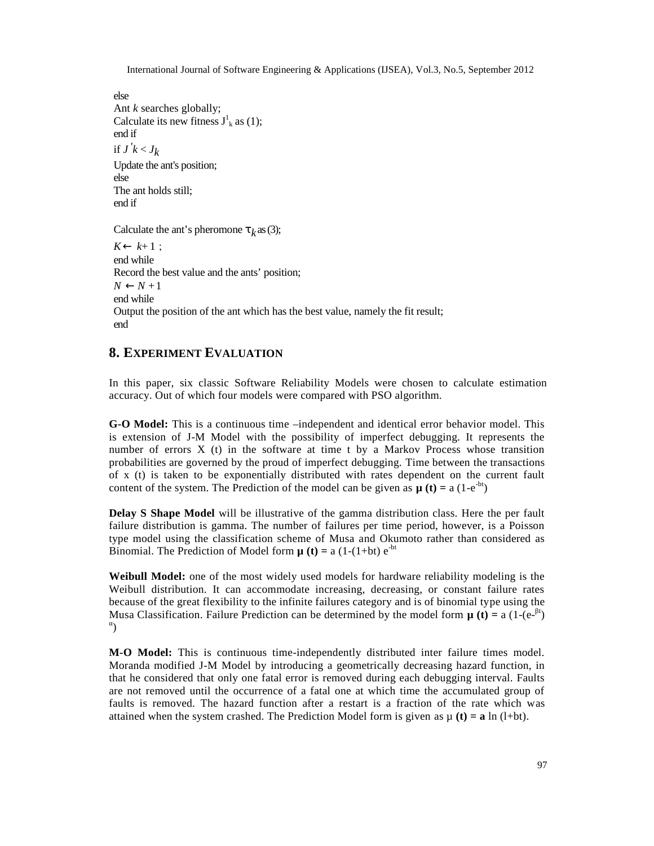else Ant *k* searches globally; Calculate its new fitness  $J^1_k$  as (1); end if if  $J \, 'k \, < J_k$ Update the ant's position; else The ant holds still; end if

Calculate the ant's pheromone  $\tau_k$  as (3);

 $K \leftarrow k+1$ : end while Record the best value and the ants' position;  $N \leftarrow N+1$ end while Output the position of the ant which has the best value, namely the fit result; end

# **8. EXPERIMENT EVALUATION**

In this paper, six classic Software Reliability Models were chosen to calculate estimation accuracy. Out of which four models were compared with PSO algorithm.

**G-O Model:** This is a continuous time –independent and identical error behavior model. This is extension of J-M Model with the possibility of imperfect debugging. It represents the number of errors  $X$  (t) in the software at time t by a Markov Process whose transition probabilities are governed by the proud of imperfect debugging. Time between the transactions of x (t) is taken to be exponentially distributed with rates dependent on the current fault content of the system. The Prediction of the model can be given as  $\mu$  (**t**) = a (1-e<sup>-bt</sup>)

**Delay S Shape Model** will be illustrative of the gamma distribution class. Here the per fault failure distribution is gamma. The number of failures per time period, however, is a Poisson type model using the classification scheme of Musa and Okumoto rather than considered as Binomial. The Prediction of Model form  $\mu$  (t) = a (1-(1+bt) e<sup>-bt</sup>

**Weibull Model:** one of the most widely used models for hardware reliability modeling is the Weibull distribution. It can accommodate increasing, decreasing, or constant failure rates because of the great flexibility to the infinite failures category and is of binomial type using the Musa Classification. Failure Prediction can be determined by the model form  $\mu$  (t) = a (1-(e-<sup>t</sup>) )

**M-O Model:** This is continuous time-independently distributed inter failure times model. Moranda modified J-M Model by introducing a geometrically decreasing hazard function, in that he considered that only one fatal error is removed during each debugging interval. Faults are not removed until the occurrence of a fatal one at which time the accumulated group of faults is removed. The hazard function after a restart is a fraction of the rate which was attained when the system crashed. The Prediction Model form is given as  $\mu$  (**t**) = **a** ln (l+bt).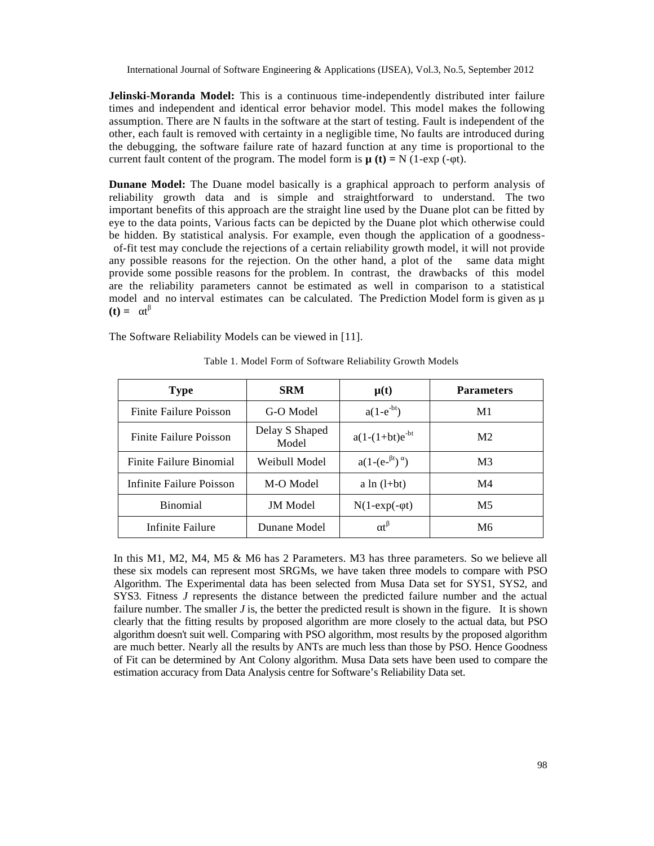**Jelinski-Moranda Model:** This is a continuous time-independently distributed inter failure times and independent and identical error behavior model. This model makes the following assumption. There are N faults in the software at the start of testing. Fault is independent of the other, each fault is removed with certainty in a negligible time, No faults are introduced during the debugging, the software failure rate of hazard function at any time is proportional to the current fault content of the program. The model form is  $\mu$  (**t**) = N (1-exp (- t).

**Dunane Model:** The Duane model basically is a graphical approach to perform analysis of reliability growth data and is simple and straightforward to understand. The two important benefits of this approach are the straight line used by the Duane plot can be fitted by eye to the data points, Various facts can be depicted by the Duane plot which otherwise could be hidden. By statistical analysis. For example, even though the application of a goodnessof-fit test may conclude the rejections of a certain reliability growth model, it will not provide any possible reasons for the rejection. On the other hand, a plot of the same data might provide some possible reasons for the problem. In contrast, the drawbacks of this model are the reliability parameters cannot be estimated as well in comparison to a statistical model and no interval estimates can be calculated. The Prediction Model form is given as  $\mu$  $(t) = t$ 

The Software Reliability Models can be viewed in [11].

| <b>Type</b>              | <b>SRM</b>              | $\mu(t)$             | <b>Parameters</b> |  |
|--------------------------|-------------------------|----------------------|-------------------|--|
| Finite Failure Poisson   | G-O Model               | $a(1-e^{-bt})$       | M1                |  |
| Finite Failure Poisson   | Delay S Shaped<br>Model | $a(1-(1+bt)e^{-bt})$ | M <sub>2</sub>    |  |
| Finite Failure Binomial  | Weibull Model           | $a(1-(e^{-t}))$      | M <sub>3</sub>    |  |
| Infinite Failure Poisson | M-O Model               | a $ln(l+bt)$         | M <sub>4</sub>    |  |
| <b>Binomial</b>          | <b>JM</b> Model         | $N(1-exp(-t))$       | M5                |  |
| Infinite Failure         | Dunane Model            |                      | M6                |  |

Table 1. Model Form of Software Reliability Growth Models

In this M1, M2, M4, M5 & M6 has 2 Parameters. M3 has three parameters. So we believe all these six models can represent most SRGMs, we have taken three models to compare with PSO Algorithm. The Experimental data has been selected from Musa Data set for SYS1, SYS2, and SYS3. Fitness *J* represents the distance between the predicted failure number and the actual failure number. The smaller *J* is, the better the predicted result is shown in the figure. It is shown clearly that the fitting results by proposed algorithm are more closely to the actual data, but PSO algorithm doesn't suit well. Comparing with PSO algorithm, most results by the proposed algorithm are much better. Nearly all the results by ANTs are much less than those by PSO. Hence Goodness of Fit can be determined by Ant Colony algorithm. Musa Data sets have been used to compare the estimation accuracy from Data Analysis centre for Software's Reliability Data set.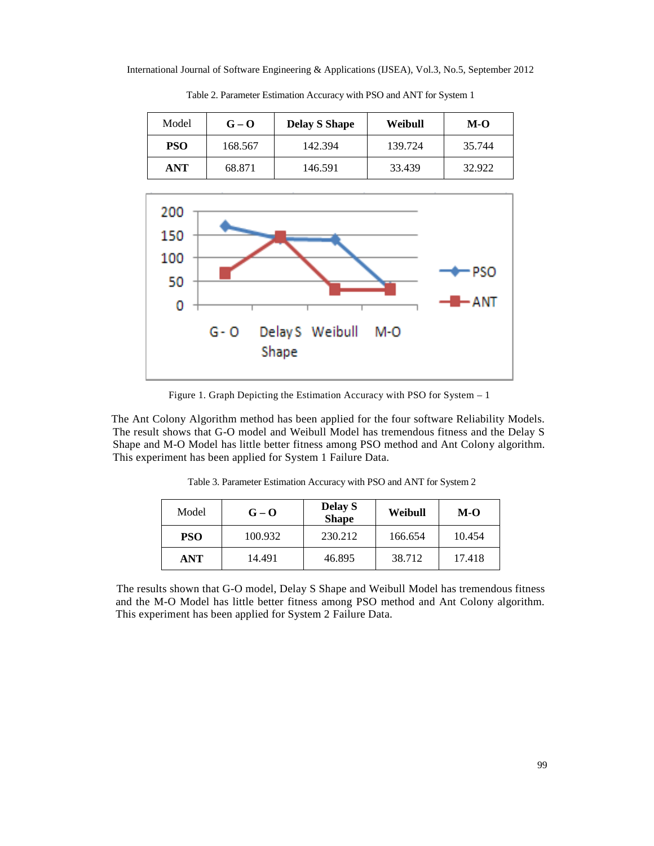| Model      | $G - Q$ | <b>Delay S Shape</b> | Weibull | $M-O$  |
|------------|---------|----------------------|---------|--------|
| <b>PSO</b> | 168.567 | 142.394              | 139.724 | 35.744 |
| <b>ANT</b> | 68.871  | 146.591              | 33.439  | 32.922 |

Table 2. Parameter Estimation Accuracy with PSO and ANT for System 1



Figure 1. Graph Depicting the Estimation Accuracy with PSO for System – 1

The Ant Colony Algorithm method has been applied for the four software Reliability Models. The result shows that G-O model and Weibull Model has tremendous fitness and the Delay S Shape and M-O Model has little better fitness among PSO method and Ant Colony algorithm. This experiment has been applied for System 1 Failure Data.

| Model      | $G - Q$ | <b>Delay S</b><br><b>Shape</b> | Weibull | $M-O$  |
|------------|---------|--------------------------------|---------|--------|
| <b>PSO</b> | 100.932 | 230.212                        | 166.654 | 10.454 |
| ANT        | 14.491  | 46.895                         | 38.712  | 17.418 |

Table 3. Parameter Estimation Accuracy with PSO and ANT for System 2

The results shown that G-O model, Delay S Shape and Weibull Model has tremendous fitness and the M-O Model has little better fitness among PSO method and Ant Colony algorithm. This experiment has been applied for System 2 Failure Data.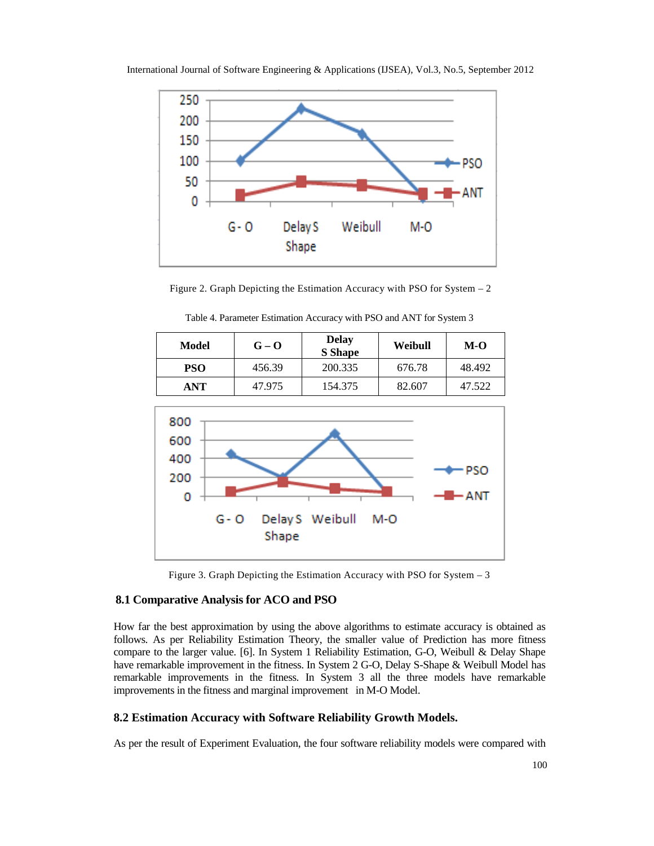

International Journal of Software Engineering & Applications (IJSEA), Vol.3, No.5, September 2012

Figure 2. Graph Depicting the Estimation Accuracy with PSO for System – 2

| Model      | $G - Q$ | <b>Delay</b><br><b>S</b> Shape | Weibull | $M-O$  |
|------------|---------|--------------------------------|---------|--------|
| <b>PSO</b> | 456.39  | 200.335                        | 676.78  | 48.492 |
| ANT        | 47.975  | 154.375                        | 82.607  | 47.522 |

Table 4. Parameter Estimation Accuracy with PSO and ANT for System 3



Figure 3. Graph Depicting the Estimation Accuracy with PSO for System – 3

#### **8.1 Comparative Analysis for ACO and PSO**

How far the best approximation by using the above algorithms to estimate accuracy is obtained as follows. As per Reliability Estimation Theory, the smaller value of Prediction has more fitness compare to the larger value. [6]. In System 1 Reliability Estimation, G-O, Weibull & Delay Shape have remarkable improvement in the fitness. In System 2 G-O, Delay S-Shape & Weibull Model has remarkable improvements in the fitness. In System 3 all the three models have remarkable improvements in the fitness and marginal improvement in M-O Model.

# **8.2 Estimation Accuracy with Software Reliability Growth Models.**

As per the result of Experiment Evaluation, the four software reliability models were compared with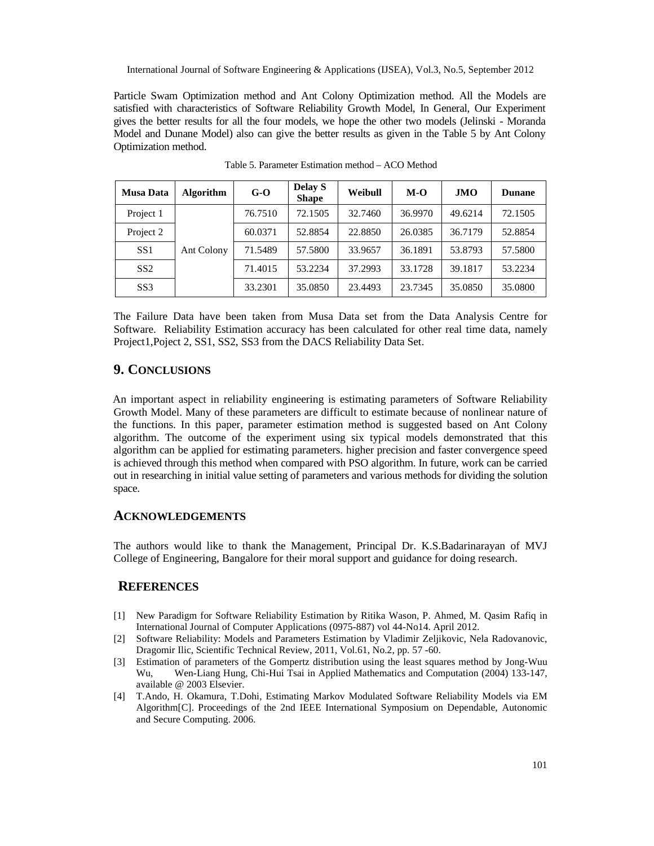Particle Swam Optimization method and Ant Colony Optimization method. All the Models are satisfied with characteristics of Software Reliability Growth Model, In General, Our Experiment gives the better results for all the four models, we hope the other two models (Jelinski - Moranda Model and Dunane Model) also can give the better results as given in the Table 5 by Ant Colony Optimization method.

| <b>Musa Data</b> | <b>Algorithm</b> | $G-O$   | Delay S<br><b>Shape</b> | Weibull | $M-O$   | <b>JMO</b> | <b>Dunane</b> |
|------------------|------------------|---------|-------------------------|---------|---------|------------|---------------|
| Project 1        | Ant Colony       | 76.7510 | 72.1505                 | 32.7460 | 36.9970 | 49.6214    | 72.1505       |
| Project 2        |                  | 60.0371 | 52.8854                 | 22.8850 | 26.0385 | 36.7179    | 52.8854       |
| SS1              |                  | 71.5489 | 57.5800                 | 33.9657 | 36.1891 | 53.8793    | 57.5800       |
| SS2              |                  | 71.4015 | 53.2234                 | 37.2993 | 33.1728 | 39.1817    | 53.2234       |
| SS <sub>3</sub>  |                  | 33.2301 | 35.0850                 | 23.4493 | 23.7345 | 35.0850    | 35.0800       |

Table 5. Parameter Estimation method – ACO Method

The Failure Data have been taken from Musa Data set from the Data Analysis Centre for Software. Reliability Estimation accuracy has been calculated for other real time data, namely Project1,Poject 2, SS1, SS2, SS3 from the DACS Reliability Data Set.

# **9. CONCLUSIONS**

An important aspect in reliability engineering is estimating parameters of Software Reliability Growth Model. Many of these parameters are difficult to estimate because of nonlinear nature of the functions. In this paper, parameter estimation method is suggested based on Ant Colony algorithm. The outcome of the experiment using six typical models demonstrated that this algorithm can be applied for estimating parameters. higher precision and faster convergence speed is achieved through this method when compared with PSO algorithm. In future, work can be carried out in researching in initial value setting of parameters and various methods for dividing the solution space.

### **ACKNOWLEDGEMENTS**

The authors would like to thank the Management, Principal Dr. K.S.Badarinarayan of MVJ College of Engineering, Bangalore for their moral support and guidance for doing research.

#### **REFERENCES**

- [1] New Paradigm for Software Reliability Estimation by Ritika Wason, P. Ahmed, M. Qasim Rafiq in International Journal of Computer Applications (0975-887) vol 44-No14. April 2012.
- [2] Software Reliability: Models and Parameters Estimation by Vladimir Zeljikovic, Nela Radovanovic, Dragomir Ilic, Scientific Technical Review, 2011, Vol.61, No.2, pp. 57 -60.
- [3] Estimation of parameters of the Gompertz distribution using the least squares method by Jong-Wuu Wu, Wen-Liang Hung, Chi-Hui Tsai in Applied Mathematics and Computation (2004) 133-147, available @ 2003 Elsevier.
- [4] T.Ando, H. Okamura, T.Dohi, Estimating Markov Modulated Software Reliability Models via EM Algorithm[C]. Proceedings of the 2nd IEEE International Symposium on Dependable, Autonomic and Secure Computing. 2006.